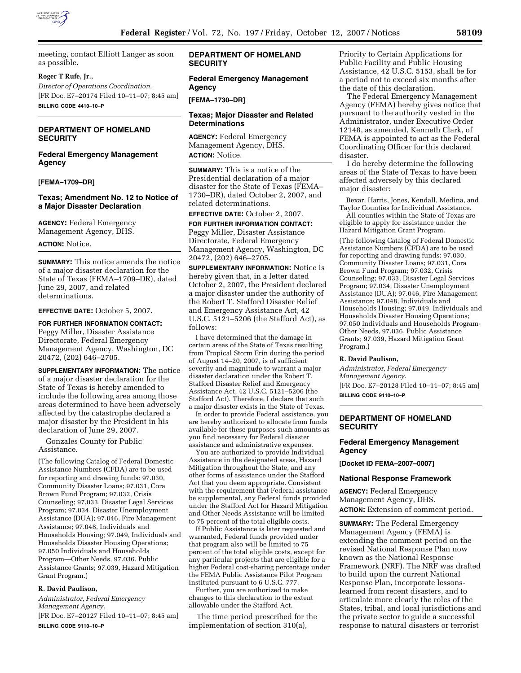

meeting, contact Elliott Langer as soon as possible.

### **Roger T Rufe, Jr.,**

*Director of Operations Coordination.*  [FR Doc. E7–20174 Filed 10–11–07; 8:45 am] **BILLING CODE 4410–10–P** 

## **DEPARTMENT OF HOMELAND SECURITY**

### **Federal Emergency Management Agency**

#### **[FEMA–1709–DR]**

### **Texas; Amendment No. 12 to Notice of a Major Disaster Declaration**

**AGENCY:** Federal Emergency Management Agency, DHS.

#### **ACTION:** Notice.

**SUMMARY:** This notice amends the notice of a major disaster declaration for the State of Texas (FEMA–1709–DR), dated June 29, 2007, and related determinations.

**EFFECTIVE DATE:** October 5, 2007.

# **FOR FURTHER INFORMATION CONTACT:**

Peggy Miller, Disaster Assistance Directorate, Federal Emergency Management Agency, Washington, DC 20472, (202) 646–2705.

**SUPPLEMENTARY INFORMATION:** The notice of a major disaster declaration for the State of Texas is hereby amended to include the following area among those areas determined to have been adversely affected by the catastrophe declared a major disaster by the President in his declaration of June 29, 2007.

Gonzales County for Public Assistance.

(The following Catalog of Federal Domestic Assistance Numbers (CFDA) are to be used for reporting and drawing funds: 97.030, Community Disaster Loans; 97.031, Cora Brown Fund Program; 97.032, Crisis Counseling; 97.033, Disaster Legal Services Program; 97.034, Disaster Unemployment Assistance (DUA); 97.046, Fire Management Assistance; 97.048, Individuals and Households Housing; 97.049, Individuals and Households Disaster Housing Operations; 97.050 Individuals and Households Program—Other Needs, 97.036, Public Assistance Grants; 97.039, Hazard Mitigation Grant Program.)

#### **R. David Paulison,**

*Administrator, Federal Emergency Management Agency.* 

[FR Doc. E7–20127 Filed 10–11–07; 8:45 am] **BILLING CODE 9110–10–P** 

### **DEPARTMENT OF HOMELAND SECURITY**

**Federal Emergency Management Agency** 

#### **[FEMA–1730–DR]**

#### **Texas; Major Disaster and Related Determinations**

**AGENCY:** Federal Emergency Management Agency, DHS. **ACTION:** Notice.

**SUMMARY:** This is a notice of the Presidential declaration of a major disaster for the State of Texas (FEMA– 1730–DR), dated October 2, 2007, and related determinations.

**EFFECTIVE DATE:** October 2, 2007.

**FOR FURTHER INFORMATION CONTACT:**  Peggy Miller, Disaster Assistance Directorate, Federal Emergency Management Agency, Washington, DC 20472, (202) 646–2705.

**SUPPLEMENTARY INFORMATION:** Notice is hereby given that, in a letter dated October 2, 2007, the President declared a major disaster under the authority of the Robert T. Stafford Disaster Relief and Emergency Assistance Act, 42 U.S.C.  $51\overline{21}$ – $5\overline{206}$  (the Stafford Act), as follows:

I have determined that the damage in certain areas of the State of Texas resulting from Tropical Storm Erin during the period of August 14–20, 2007, is of sufficient severity and magnitude to warrant a major disaster declaration under the Robert T. Stafford Disaster Relief and Emergency Assistance Act, 42 U.S.C. 5121–5206 (the Stafford Act). Therefore, I declare that such a major disaster exists in the State of Texas.

In order to provide Federal assistance, you are hereby authorized to allocate from funds available for these purposes such amounts as you find necessary for Federal disaster assistance and administrative expenses.

You are authorized to provide Individual Assistance in the designated areas, Hazard Mitigation throughout the State, and any other forms of assistance under the Stafford Act that you deem appropriate. Consistent with the requirement that Federal assistance be supplemental, any Federal funds provided under the Stafford Act for Hazard Mitigation and Other Needs Assistance will be limited to 75 percent of the total eligible costs.

If Public Assistance is later requested and warranted, Federal funds provided under that program also will be limited to 75 percent of the total eligible costs, except for any particular projects that are eligible for a higher Federal cost-sharing percentage under the FEMA Public Assistance Pilot Program instituted pursuant to 6 U.S.C. 777.

Further, you are authorized to make changes to this declaration to the extent allowable under the Stafford Act.

The time period prescribed for the implementation of section 310(a),

Priority to Certain Applications for Public Facility and Public Housing Assistance, 42 U.S.C. 5153, shall be for a period not to exceed six months after the date of this declaration.

The Federal Emergency Management Agency (FEMA) hereby gives notice that pursuant to the authority vested in the Administrator, under Executive Order 12148, as amended, Kenneth Clark, of FEMA is appointed to act as the Federal Coordinating Officer for this declared disaster.

I do hereby determine the following areas of the State of Texas to have been affected adversely by this declared major disaster:

Bexar, Harris, Jones, Kendall, Medina, and Taylor Counties for Individual Assistance.

All counties within the State of Texas are eligible to apply for assistance under the Hazard Mitigation Grant Program.

(The following Catalog of Federal Domestic Assistance Numbers (CFDA) are to be used for reporting and drawing funds: 97.030, Community Disaster Loans; 97.031, Cora Brown Fund Program; 97.032, Crisis Counseling; 97.033, Disaster Legal Services Program; 97.034, Disaster Unemployment Assistance (DUA); 97.046, Fire Management Assistance; 97.048, Individuals and Households Housing; 97.049, Individuals and Households Disaster Housing Operations; 97.050 Individuals and Households Program-Other Needs, 97.036, Public Assistance Grants; 97.039, Hazard Mitigation Grant Program.)

#### **R. David Paulison,**

*Administrator, Federal Emergency Management Agency.*  [FR Doc. E7–20128 Filed 10–11–07; 8:45 am] **BILLING CODE 9110–10–P** 

#### **DEPARTMENT OF HOMELAND SECURITY**

## **Federal Emergency Management Agency**

**[Docket ID FEMA–2007–0007]** 

#### **National Response Framework**

**AGENCY:** Federal Emergency Management Agency, DHS. **ACTION:** Extension of comment period.

**SUMMARY:** The Federal Emergency Management Agency (FEMA) is extending the comment period on the revised National Response Plan now known as the National Response Framework (NRF). The NRF was drafted to build upon the current National Response Plan, incorporate lessonslearned from recent disasters, and to articulate more clearly the roles of the States, tribal, and local jurisdictions and the private sector to guide a successful response to natural disasters or terrorist